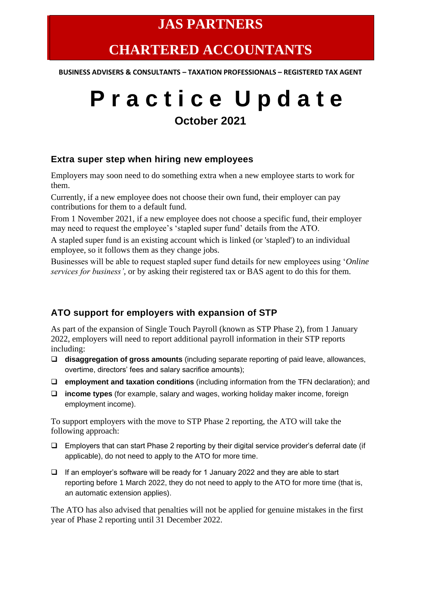### **JAS PARTNERS**

## **CHARTERED ACCOUNTANTS**

**BUSINESS ADVISERS & CONSULTANTS – TAXATION PROFESSIONALS – REGISTERED TAX AGENT**

# **P r a c t i c e U p d a t e October 2021**

#### **Extra super step when hiring new employees**

Employers may soon need to do something extra when a new employee starts to work for them.

Currently, if a new employee does not choose their own fund, their employer can pay contributions for them to a default fund.

From 1 November 2021, if a new employee does not choose a specific fund, their employer may need to request the employee's 'stapled super fund' details from the ATO.

A stapled super fund is an existing account which is linked (or 'stapled') to an individual employee, so it follows them as they change jobs.

Businesses will be able to request stapled super fund details for new employees using '*Online services for business'*, or by asking their registered tax or BAS agent to do this for them.

#### **ATO support for employers with expansion of STP**

As part of the expansion of Single Touch Payroll (known as STP Phase 2), from 1 January 2022, employers will need to report additional payroll information in their STP reports including:

- ❑ **disaggregation of gross amounts** (including separate reporting of paid leave, allowances, overtime, directors' fees and salary sacrifice amounts);
- ❑ **employment and taxation conditions** (including information from the TFN declaration); and
- ❑ **income types** (for example, salary and wages, working holiday maker income, foreign employment income).

To support employers with the move to STP Phase 2 reporting, the ATO will take the following approach:

- ❑ Employers that can start Phase 2 reporting by their digital service provider's deferral date (if applicable), do not need to apply to the ATO for more time.
- ❑ If an employer's software will be ready for 1 January 2022 and they are able to start reporting before 1 March 2022, they do not need to apply to the ATO for more time (that is, an automatic extension applies).

The ATO has also advised that penalties will not be applied for genuine mistakes in the first year of Phase 2 reporting until 31 December 2022.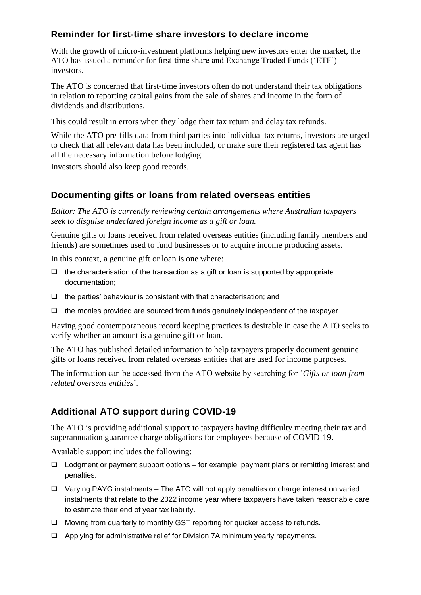#### **Reminder for first-time share investors to declare income**

With the growth of micro-investment platforms helping new investors enter the market, the ATO has issued a reminder for first-time share and Exchange Traded Funds ('ETF') investors.

The ATO is concerned that first-time investors often do not understand their tax obligations in relation to reporting capital gains from the sale of shares and income in the form of dividends and distributions.

This could result in errors when they lodge their tax return and delay tax refunds.

While the ATO pre-fills data from third parties into individual tax returns, investors are urged to check that all relevant data has been included, or make sure their registered tax agent has all the necessary information before lodging.

Investors should also keep good records.

#### **Documenting gifts or loans from related overseas entities**

*Editor: The ATO is currently reviewing certain arrangements where Australian taxpayers seek to disguise undeclared foreign income as a gift or loan.*

Genuine gifts or loans received from related overseas entities (including family members and friends) are sometimes used to fund businesses or to acquire income producing assets.

In this context, a genuine gift or loan is one where:

- $\Box$  the characterisation of the transaction as a gift or loan is supported by appropriate documentation;
- ❑ the parties' behaviour is consistent with that characterisation; and
- ❑ the monies provided are sourced from funds genuinely independent of the taxpayer.

Having good contemporaneous record keeping practices is desirable in case the ATO seeks to verify whether an amount is a genuine gift or loan.

The ATO has published detailed information to help taxpayers properly document genuine gifts or loans received from related overseas entities that are used for income purposes.

The information can be accessed from the ATO website by searching for '*Gifts or loan from related overseas entities*'.

#### **Additional ATO support during COVID-19**

The ATO is providing additional support to taxpayers having difficulty meeting their tax and superannuation guarantee charge obligations for employees because of COVID-19.

Available support includes the following:

- ❑ Lodgment or payment support options for example, payment plans or remitting interest and penalties.
- ❑ Varying PAYG instalments The ATO will not apply penalties or charge interest on varied instalments that relate to the 2022 income year where taxpayers have taken reasonable care to estimate their end of year tax liability.
- ❑ Moving from quarterly to monthly GST reporting for quicker access to refunds.
- ❑ Applying for administrative relief for Division 7A minimum yearly repayments.